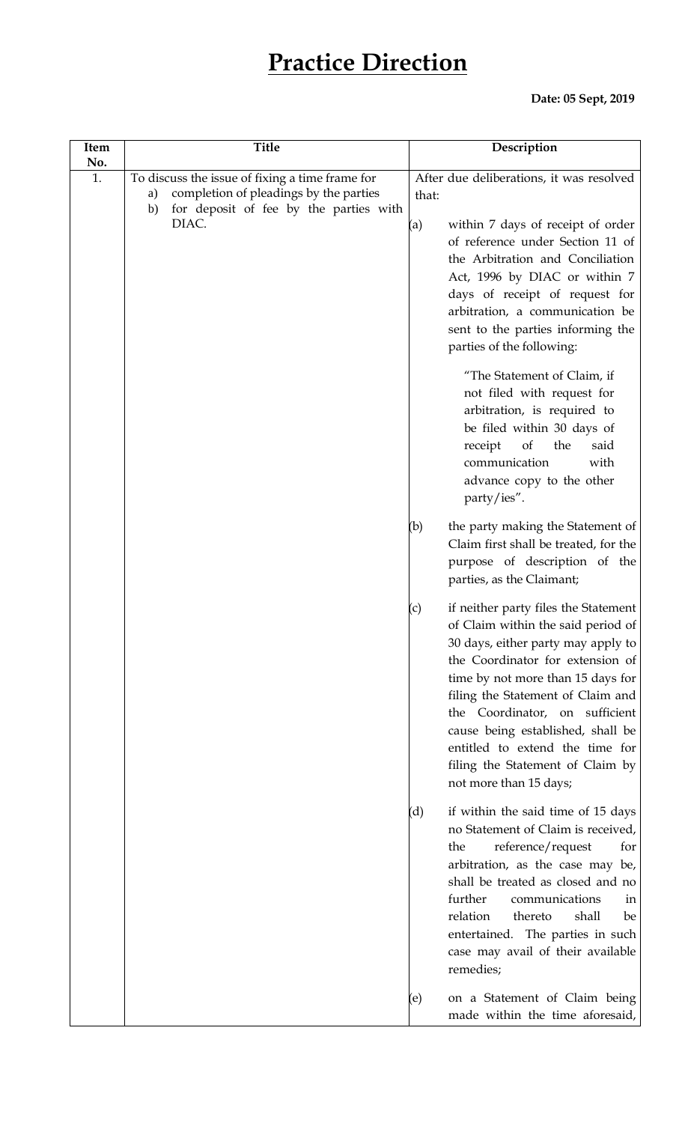## **Practice Direction**

## **Date: 05 Sept, 2019**

| Item      | <b>Title</b>                                                                                                                                             | Description                                                                                                                                                                                                                                                                                                                                                                                                   |
|-----------|----------------------------------------------------------------------------------------------------------------------------------------------------------|---------------------------------------------------------------------------------------------------------------------------------------------------------------------------------------------------------------------------------------------------------------------------------------------------------------------------------------------------------------------------------------------------------------|
| No.<br>1. | To discuss the issue of fixing a time frame for<br>completion of pleadings by the parties<br>a)<br>for deposit of fee by the parties with<br>b)<br>DIAC. | After due deliberations, it was resolved<br>that:<br>within 7 days of receipt of order<br>(a)<br>of reference under Section 11 of<br>the Arbitration and Conciliation<br>Act, 1996 by DIAC or within 7<br>days of receipt of request for<br>arbitration, a communication be<br>sent to the parties informing the<br>parties of the following:                                                                 |
|           |                                                                                                                                                          | "The Statement of Claim, if<br>not filed with request for<br>arbitration, is required to<br>be filed within 30 days of<br>receipt<br>the<br>said<br><sub>of</sub><br>communication<br>with<br>advance copy to the other<br>party/ies".                                                                                                                                                                        |
|           |                                                                                                                                                          | (b)<br>the party making the Statement of<br>Claim first shall be treated, for the<br>purpose of description of the<br>parties, as the Claimant;                                                                                                                                                                                                                                                               |
|           |                                                                                                                                                          | if neither party files the Statement<br>(c)<br>of Claim within the said period of<br>30 days, either party may apply to<br>the Coordinator for extension of<br>time by not more than 15 days for<br>filing the Statement of Claim and<br>the Coordinator, on sufficient<br>cause being established, shall be<br>entitled to extend the time for<br>filing the Statement of Claim by<br>not more than 15 days; |
|           |                                                                                                                                                          | (d)<br>if within the said time of 15 days<br>no Statement of Claim is received,<br>reference/request<br>the<br>for<br>arbitration, as the case may be,<br>shall be treated as closed and no<br>further<br>communications<br>in<br>relation<br>thereto<br>shall<br>be<br>entertained. The parties in such<br>case may avail of their available<br>remedies;                                                    |
|           |                                                                                                                                                          | on a Statement of Claim being<br>(e)<br>made within the time aforesaid,                                                                                                                                                                                                                                                                                                                                       |